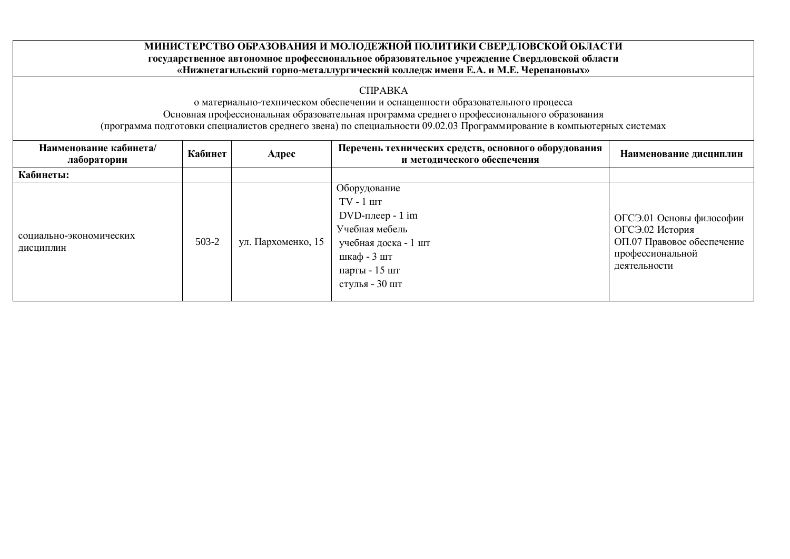## МИНИСТЕРСТВО ОБРАЗОВАНИЯ И МОЛОДЕЖНОЙ ПОЛИТИКИ СВЕРДЛОВСКОЙ ОБЛАСТИ государственное автономное профессиональное образовательное учреждение Свердловской области «Нижнетагильский горно-металлургический колледж имени Е.А. и М.Е. Черепановых»

## CΠPABKA

о материально-техническом обеспечении и оснащенности образовательного процесса

Основная профессиональная образовательная программа среднего профессионального образования

(программа подготовки специалистов среднего звена) по специальности 09.02.03 Программирование в компьютерных системах

| Наименование кабинета/<br>лаборатории | Кабинет | Адрес              | Перечень технических средств, основного оборудования<br>и методического обеспечения                                                                        | Наименование дисциплин                                                                                        |
|---------------------------------------|---------|--------------------|------------------------------------------------------------------------------------------------------------------------------------------------------------|---------------------------------------------------------------------------------------------------------------|
| Кабинеты:                             |         |                    |                                                                                                                                                            |                                                                                                               |
| социально-экономических<br>ДИСЦИПЛИН  | 503-2   | ул. Пархоменко, 15 | Оборудование<br>$TV - 1$ $\mu$<br>$DVD$ -плеер - 1 im<br>Учебная мебель<br>учебная доска - 1 шт<br>шкаф - $3 \text{ m}$<br>парты - 15 шт<br>стулья - 30 шт | ОГСЭ.01 Основы философии<br>ОГСЭ.02 История<br>ОП.07 Правовое обеспечение<br>профессиональной<br>деятельности |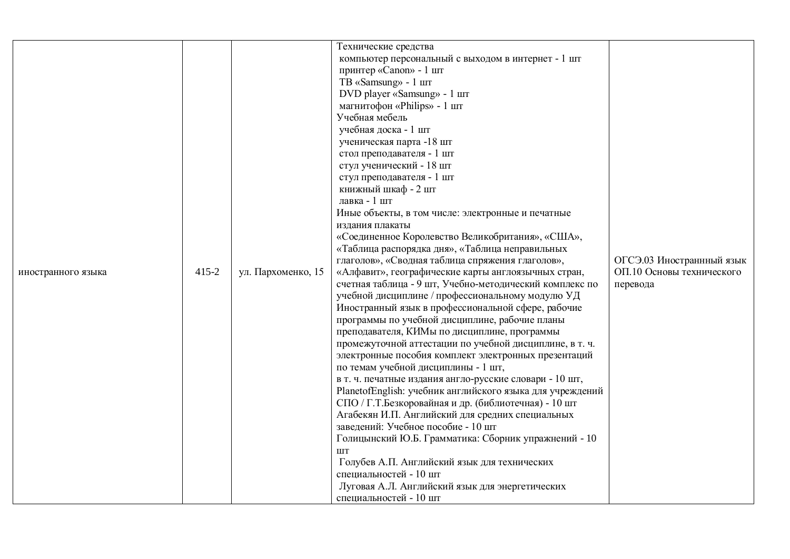| иностранного языка | 415-2 | ул. Пархоменко, 15 | Технические средства<br>компьютер персональный с выходом в интернет - 1 шт<br>принтер «Canon» - 1 шт<br>TB «Samsung» - 1 шт<br>DVD player «Samsung» - 1 шт<br>магнитофон «Philips» - 1 шт<br>Учебная мебель<br>учебная доска - 1 шт<br>ученическая парта -18 шт<br>стол преподавателя - 1 шт<br>стул ученический - 18 шт<br>стул преподавателя - 1 шт<br>книжный шкаф - 2 шт<br>лавка - 1 шт<br>Иные объекты, в том числе: электронные и печатные<br>издания плакаты<br>«Соединенное Королевство Великобритания», «США»,<br>«Таблица распорядка дня», «Таблица неправильных<br>глаголов», «Сводная таблица спряжения глаголов»,<br>«Алфавит», географические карты англоязычных стран,<br>счетная таблица - 9 шт, Учебно-методический комплекс по<br>учебной дисциплине / профессиональному модулю УД<br>Иностранный язык в профессиональной сфере, рабочие<br>программы по учебной дисциплине, рабочие планы<br>преподавателя, КИМы по дисциплине, программы<br>промежуточной аттестации по учебной дисциплине, в т. ч.<br>электронные пособия комплект электронных презентаций<br>по темам учебной дисциплины - 1 шт,<br>в т. ч. печатные издания англо-русские словари - 10 шт,<br>PlanetofEnglish: учебник английского языка для учреждений<br>СПО / Г.Т.Безкоровайная и др. (библиотечная) - 10 шт<br>Агабекян И.П. Английский для средних специальных<br>заведений: Учебное пособие - 10 шт<br>Голицынский Ю.Б. Грамматика: Сборник упражнений - 10<br>ШT<br>Голубев А.П. Английский язык для технических<br>специальностей - 10 шт | ОГСЭ.03 Иностраннный язык<br>ОП.10 Основы технического<br>перевода |
|--------------------|-------|--------------------|-------------------------------------------------------------------------------------------------------------------------------------------------------------------------------------------------------------------------------------------------------------------------------------------------------------------------------------------------------------------------------------------------------------------------------------------------------------------------------------------------------------------------------------------------------------------------------------------------------------------------------------------------------------------------------------------------------------------------------------------------------------------------------------------------------------------------------------------------------------------------------------------------------------------------------------------------------------------------------------------------------------------------------------------------------------------------------------------------------------------------------------------------------------------------------------------------------------------------------------------------------------------------------------------------------------------------------------------------------------------------------------------------------------------------------------------------------------------------------------------------------------------------------------------|--------------------------------------------------------------------|
|                    |       |                    | Луговая А.Л. Английский язык для энергетических<br>специальностей - 10 шт                                                                                                                                                                                                                                                                                                                                                                                                                                                                                                                                                                                                                                                                                                                                                                                                                                                                                                                                                                                                                                                                                                                                                                                                                                                                                                                                                                                                                                                                 |                                                                    |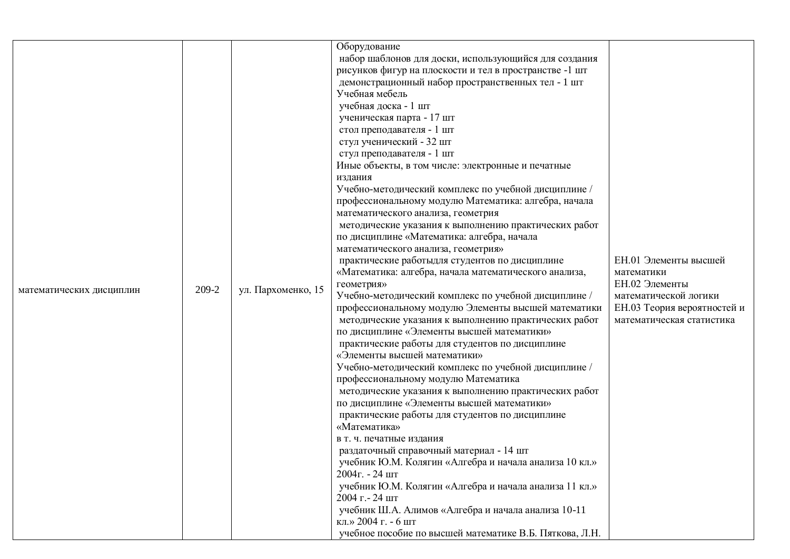|                          |       |                                                                                                               | Оборудование                                                                                  |                             |
|--------------------------|-------|---------------------------------------------------------------------------------------------------------------|-----------------------------------------------------------------------------------------------|-----------------------------|
|                          |       |                                                                                                               | набор шаблонов для доски, использующийся для создания                                         |                             |
|                          |       |                                                                                                               | рисунков фигур на плоскости и тел в пространстве -1 шт                                        |                             |
|                          |       |                                                                                                               | демонстрационный набор пространственных тел - 1 шт                                            |                             |
|                          |       |                                                                                                               | Учебная мебель                                                                                |                             |
|                          |       |                                                                                                               | учебная доска - 1 шт                                                                          |                             |
|                          |       |                                                                                                               | ученическая парта - 17 шт                                                                     |                             |
|                          |       |                                                                                                               | стол преподавателя - 1 шт                                                                     |                             |
|                          |       |                                                                                                               | стул ученический - 32 шт                                                                      |                             |
|                          |       |                                                                                                               | стул преподавателя - 1 шт                                                                     |                             |
|                          |       |                                                                                                               | Иные объекты, в том числе: электронные и печатные                                             |                             |
|                          |       |                                                                                                               | издания                                                                                       |                             |
|                          |       |                                                                                                               | Учебно-методический комплекс по учебной дисциплине /                                          |                             |
|                          |       |                                                                                                               | профессиональному модулю Математика: алгебра, начала                                          |                             |
|                          |       |                                                                                                               | математического анализа, геометрия                                                            |                             |
|                          |       |                                                                                                               | методические указания к выполнению практических работ                                         |                             |
|                          |       |                                                                                                               | по дисциплине «Математика: алгебра, начала                                                    |                             |
|                          |       |                                                                                                               | математического анализа, геометрия»                                                           |                             |
|                          |       | практические работыдля студентов по дисциплине                                                                | ЕН.01 Элементы высшей                                                                         |                             |
|                          |       | «Математика: алгебра, начала математического анализа,                                                         | математики                                                                                    |                             |
|                          |       | геометрия»                                                                                                    | ЕН.02 Элементы                                                                                |                             |
| математических дисциплин | 209-2 | ул. Пархоменко, 15                                                                                            | Учебно-методический комплекс по учебной дисциплине /                                          | математической логики       |
|                          |       |                                                                                                               | профессиональному модулю Элементы высшей математики                                           | ЕН.03 Теория вероятностей и |
|                          |       |                                                                                                               | методические указания к выполнению практических работ                                         | математическая статистика   |
|                          |       |                                                                                                               | по дисциплине «Элементы высшей математики»                                                    |                             |
|                          |       |                                                                                                               | практические работы для студентов по дисциплине                                               |                             |
|                          |       |                                                                                                               | «Элементы высшей математики»                                                                  |                             |
|                          |       |                                                                                                               | Учебно-методический комплекс по учебной дисциплине /                                          |                             |
|                          |       |                                                                                                               | профессиональному модулю Математика                                                           |                             |
|                          |       | методические указания к выполнению практических работ                                                         |                                                                                               |                             |
|                          |       | по дисциплине «Элементы высшей математики»                                                                    |                                                                                               |                             |
|                          |       |                                                                                                               | практические работы для студентов по дисциплине                                               |                             |
|                          |       |                                                                                                               | «Математика»                                                                                  |                             |
|                          |       |                                                                                                               | в т. ч. печатные издания                                                                      |                             |
|                          |       |                                                                                                               | раздаточный справочный материал - 14 шт                                                       |                             |
|                          |       | учебник Ю.М. Колягин «Алгебра и начала анализа 10 кл.»<br>$2004$ $\Gamma$ . - 24 $\text{I} \text{I} \text{I}$ |                                                                                               |                             |
|                          |       |                                                                                                               |                                                                                               |                             |
|                          |       |                                                                                                               | учебник Ю.М. Колягин «Алгебра и начала анализа 11 кл.»                                        |                             |
|                          |       |                                                                                                               |                                                                                               |                             |
|                          |       |                                                                                                               |                                                                                               |                             |
|                          |       |                                                                                                               |                                                                                               |                             |
|                          |       |                                                                                                               | 2004 г. - 24 шт<br>учебник Ш.А. Алимов «Алгебра и начала анализа 10-11<br>кл.» 2004 г. - 6 шт |                             |
|                          |       |                                                                                                               | учебное пособие по высшей математике В.Б. Пяткова, Л.Н.                                       |                             |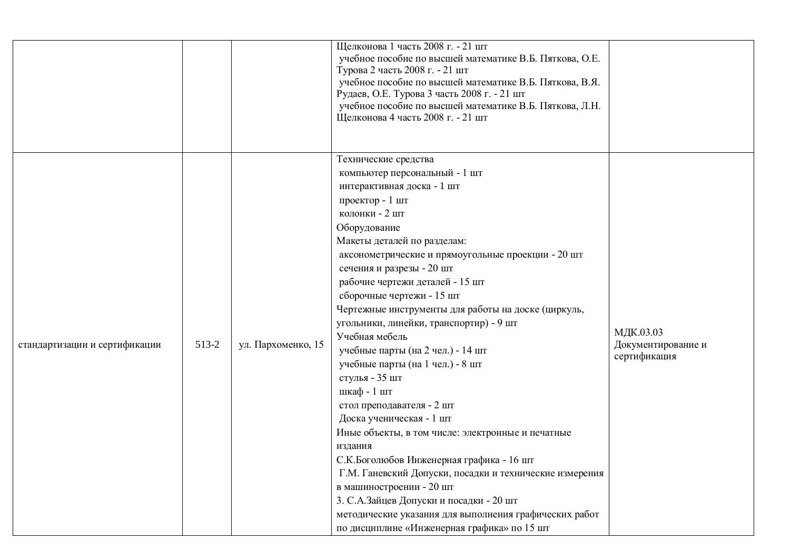|                               |                             | Щелконова 1 часть 2008 г. - 21 шт<br>учебное пособие по высшей математике В.Б. Пяткова, О.Е.<br>Турова 2 часть 2008 г. - 21 шт<br>учебное пособие по высшей математике В.Б. Пяткова, В.Я.<br>Рудаев, О.Е. Турова 3 часть 2008 г. - 21 шт<br>учебное пособие по высшей математике В.Б. Пяткова, Л.Н.<br>Щелконова 4 часть 2008 г. - 21 шт                                                                                                                                                                                                                                                                                                                                                                                                                                                                                                                                                                                                                                 |                                                 |
|-------------------------------|-----------------------------|--------------------------------------------------------------------------------------------------------------------------------------------------------------------------------------------------------------------------------------------------------------------------------------------------------------------------------------------------------------------------------------------------------------------------------------------------------------------------------------------------------------------------------------------------------------------------------------------------------------------------------------------------------------------------------------------------------------------------------------------------------------------------------------------------------------------------------------------------------------------------------------------------------------------------------------------------------------------------|-------------------------------------------------|
| стандартизации и сертификации | 513-2<br>ул. Пархоменко, 15 | Технические средства<br>компьютер персональный - 1 шт<br>интерактивная доска - 1 шт<br>проектор - 1 шт<br>колонки - 2 шт<br>Оборудование<br>Макеты деталей по разделам:<br>аксонометрические и прямоугольные проекции - 20 шт<br>сечения и разрезы - 20 шт<br>рабочие чертежи деталей - 15 шт<br>сборочные чертежи - 15 шт<br>Чертежные инструменты для работы на доске (циркуль,<br>угольники, линейки, транспортир) - 9 шт<br>Учебная мебель<br>учебные парты (на 2 чел.) - 14 шт<br>учебные парты (на 1 чел.) - 8 шт<br>стулья - 35 шт<br>шкаф - 1 шт<br>стол преподавателя - 2 шт<br>Доска ученическая - 1 шт<br>Иные объекты, в том числе: электронные и печатные<br>издания<br>С.К.Боголюбов Инженерная графика - 16 шт<br>Г.М. Ганевский Допуски, посадки и технические измерения<br>в машиностроении - 20 шт<br>3. С.А.Зайцев Допуски и посадки - 20 шт<br>методические указания для выполнения графических работ<br>по дисциплине «Инженерная графика» по 15 шт | МДК.03.03<br>Документирование и<br>сертификация |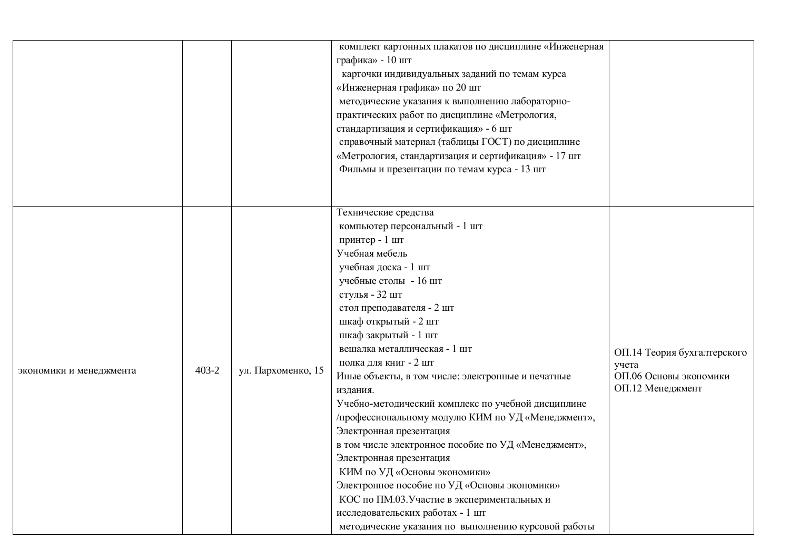|                         |                             | комплект картонных плакатов по дисциплине «Инженерная<br>графика» - 10 шт<br>карточки индивидуальных заданий по темам курса<br>«Инженерная графика» по 20 шт<br>методические указания к выполнению лабораторно-<br>практических работ по дисциплине «Метрология,<br>стандартизация и сертификация» - 6 шт<br>справочный материал (таблицы ГОСТ) по дисциплине<br>«Метрология, стандартизация и сертификация» - 17 шт<br>Фильмы и презентации по темам курса - 13 шт                                                                                                                                                                                                                                                                                                                                                   |                                                                                    |
|-------------------------|-----------------------------|-----------------------------------------------------------------------------------------------------------------------------------------------------------------------------------------------------------------------------------------------------------------------------------------------------------------------------------------------------------------------------------------------------------------------------------------------------------------------------------------------------------------------------------------------------------------------------------------------------------------------------------------------------------------------------------------------------------------------------------------------------------------------------------------------------------------------|------------------------------------------------------------------------------------|
| экономики и менеджмента | 403-2<br>ул. Пархоменко, 15 | Технические средства<br>компьютер персональный - 1 шт<br>принтер - 1 шт<br>Учебная мебель<br>учебная доска - 1 шт<br>учебные столы - 16 шт<br>стулья - 32 шт<br>стол преподавателя - 2 шт<br>шкаф открытый - 2 шт<br>шкаф закрытый - 1 шт<br>вешалка металлическая - 1 шт<br>полка для книг - 2 шт<br>Иные объекты, в том числе: электронные и печатные<br>издания.<br>Учебно-методический комплекс по учебной дисциплине<br>/профессиональному модулю КИМ по УД «Менеджмент»,<br>Электронная презентация<br>в том числе электронное пособие по УД «Менеджмент»,<br>Электронная презентация<br>КИМ по УД «Основы экономики»<br>Электронное пособие по УД «Основы экономики»<br>КОС по ПМ.03. Участие в экспериментальных и<br>исследовательских работах - 1 шт<br>методические указания по выполнению курсовой работы | ОП.14 Теория бухгалтерского<br>учета<br>ОП.06 Основы экономики<br>ОП.12 Менеджмент |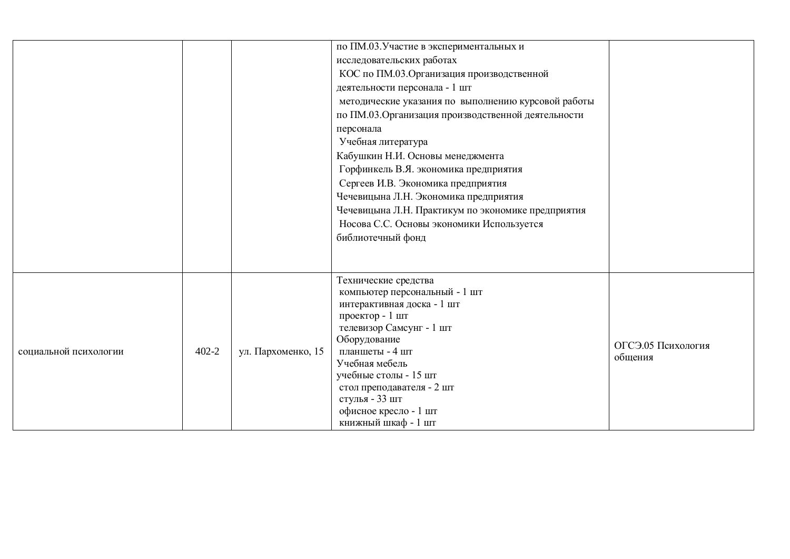|                       |           |                    | по ПМ.03. Участие в экспериментальных и<br>исследовательских работах<br>КОС по ПМ.03. Организация производственной<br>деятельности персонала - 1 шт<br>методические указания по выполнению курсовой работы<br>по ПМ.03. Организация производственной деятельности<br>персонала<br>Учебная литература<br>Кабушкин Н.И. Основы менеджмента<br>Горфинкель В.Я. экономика предприятия<br>Сергеев И.В. Экономика предприятия<br>Чечевицына Л.Н. Экономика предприятия<br>Чечевицына Л.Н. Практикум по экономике предприятия<br>Носова С.С. Основы экономики Используется<br>библиотечный фонд |                               |
|-----------------------|-----------|--------------------|------------------------------------------------------------------------------------------------------------------------------------------------------------------------------------------------------------------------------------------------------------------------------------------------------------------------------------------------------------------------------------------------------------------------------------------------------------------------------------------------------------------------------------------------------------------------------------------|-------------------------------|
| социальной психологии | $402 - 2$ | ул. Пархоменко, 15 | Технические средства<br>компьютер персональный - 1 шт<br>интерактивная доска - 1 шт<br>проектор - 1 шт<br>телевизор Самсунг - 1 шт<br>Оборудование<br>планшеты - 4 шт<br>Учебная мебель<br>учебные столы - 15 шт<br>стол преподавателя - 2 шт<br>стулья - 33 шт<br>офисное кресло - 1 шт<br>книжный шкаф - 1 шт                                                                                                                                                                                                                                                                          | ОГСЭ.05 Психология<br>общения |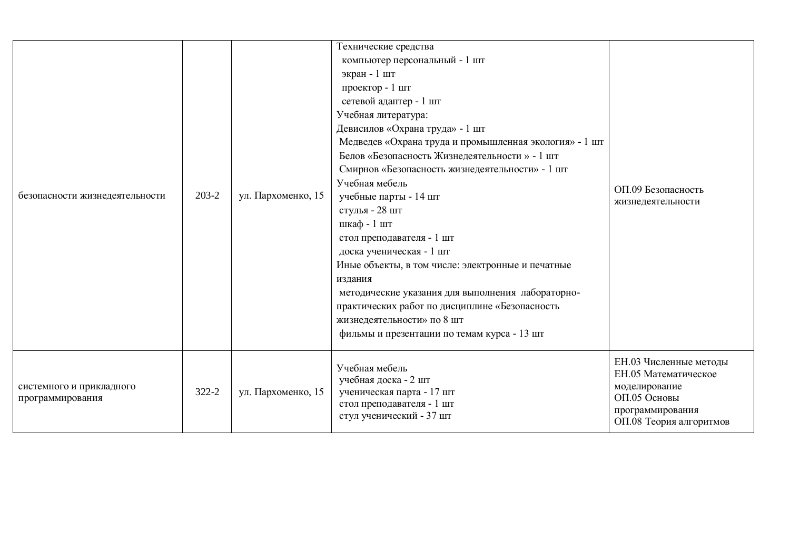| безопасности жизнедеятельности               | 203-2 | ул. Пархоменко, 15 | Технические средства<br>компьютер персональный - 1 шт<br>экран - 1 шт<br>проектор - 1 шт<br>сетевой адаптер - 1 шт<br>Учебная литература:<br>Девисилов «Охрана труда» - 1 шт<br>Медведев «Охрана труда и промышленная экология» - 1 шт<br>Белов «Безопасность Жизнедеятельности » - 1 шт<br>Смирнов «Безопасность жизнедеятельности» - 1 шт<br>Учебная мебель<br>учебные парты - 14 шт<br>стулья - 28 шт<br>шкаф - 1 шт<br>стол преподавателя - 1 шт<br>доска ученическая - 1 шт<br>Иные объекты, в том числе: электронные и печатные<br>издания<br>методические указания для выполнения лабораторно-<br>практических работ по дисциплине «Безопасность<br>жизнедеятельности» по 8 шт<br>фильмы и презентации по темам курса - 13 шт | ОП.09 Безопасность<br>жизнедеятельности                                                                                        |
|----------------------------------------------|-------|--------------------|--------------------------------------------------------------------------------------------------------------------------------------------------------------------------------------------------------------------------------------------------------------------------------------------------------------------------------------------------------------------------------------------------------------------------------------------------------------------------------------------------------------------------------------------------------------------------------------------------------------------------------------------------------------------------------------------------------------------------------------|--------------------------------------------------------------------------------------------------------------------------------|
| системного и прикладного<br>программирования | 322-2 | ул. Пархоменко, 15 | Учебная мебель<br>учебная доска - 2 шт<br>ученическая парта - 17 шт<br>стол преподавателя - 1 шт<br>стул ученический - 37 шт                                                                                                                                                                                                                                                                                                                                                                                                                                                                                                                                                                                                         | ЕН.03 Численные методы<br>ЕН.05 Математическое<br>моделирование<br>ОП.05 Основы<br>программирования<br>ОП.08 Теория алгоритмов |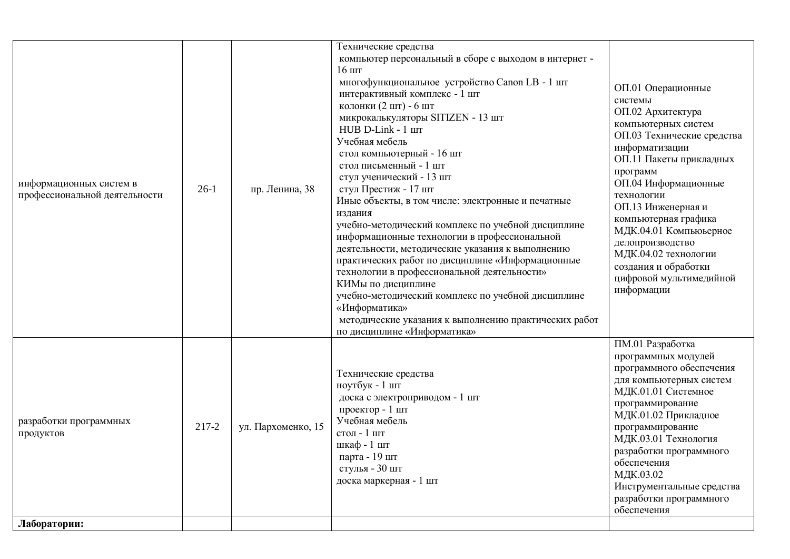| ПМ.01 Разработка<br>программных модулей<br>программного обеспечения<br>Технические средства<br>для компьютерных систем<br>ноутбук - 1 шт<br>МДК.01.01 Системное<br>доска с электроприводом - 1 шт<br>программирование<br>проектор - 1 шт<br>МДК.01.02 Прикладное<br>Учебная мебель<br>разработки программных<br>ул. Пархоменко, 15<br>217-2<br>программирование<br>стол - 1 шт<br>продуктов<br>МДК.03.01 Технология<br>шкаф - 1 шт<br>разработки программного<br>парта - 19 шт<br>обеспечения<br>стулья - 30 шт<br>МДК.03.02 | информационных систем в<br>профессиональной деятельности | $26-1$ | пр. Ленина, 38 | Технические средства<br>компьютер персональный в сборе с выходом в интернет -<br>$16 \text{ m}$<br>многофункциональное устройство Canon LB - 1 шт<br>интерактивный комплекс - 1 шт<br>колонки (2 шт) - 6 шт<br>микрокалькуляторы SITIZEN - 13 шт<br>HUB D-Link - 1 IIIT<br>Учебная мебель<br>стол компьютерный - 16 шт<br>стол письменный - 1 шт<br>стул ученический - 13 шт<br>стул Престиж - 17 шт<br>Иные объекты, в том числе: электронные и печатные<br>издания<br>учебно-методический комплекс по учебной дисциплине<br>информационные технологии в профессиональной<br>деятельности, методические указания к выполнению<br>практических работ по дисциплине «Информационные<br>технологии в профессиональной деятельности»<br>КИМы по дисциплине<br>учебно-методический комплекс по учебной дисциплине<br>«Информатика»<br>методические указания к выполнению практических работ<br>по дисциплине «Информатика» | ОП.01 Операционные<br>системы<br>ОП.02 Архитектура<br>компьютерных систем<br>ОП.03 Технические средства<br>информатизации<br>ОП.11 Пакеты прикладных<br>программ<br>ОП.04 Информационные<br>технологии<br>ОП.13 Инженерная и<br>компьютерная графика<br>МДК.04.01 Компьюьерное<br>делопроизводство<br>МДК.04.02 технологии<br>создания и обработки<br>цифровой мультимедийной<br>информации |
|------------------------------------------------------------------------------------------------------------------------------------------------------------------------------------------------------------------------------------------------------------------------------------------------------------------------------------------------------------------------------------------------------------------------------------------------------------------------------------------------------------------------------|----------------------------------------------------------|--------|----------------|------------------------------------------------------------------------------------------------------------------------------------------------------------------------------------------------------------------------------------------------------------------------------------------------------------------------------------------------------------------------------------------------------------------------------------------------------------------------------------------------------------------------------------------------------------------------------------------------------------------------------------------------------------------------------------------------------------------------------------------------------------------------------------------------------------------------------------------------------------------------------------------------------------------------|---------------------------------------------------------------------------------------------------------------------------------------------------------------------------------------------------------------------------------------------------------------------------------------------------------------------------------------------------------------------------------------------|
| разработки программного<br>обеспечения<br>Лаборатории:                                                                                                                                                                                                                                                                                                                                                                                                                                                                       |                                                          |        |                | доска маркерная - 1 шт                                                                                                                                                                                                                                                                                                                                                                                                                                                                                                                                                                                                                                                                                                                                                                                                                                                                                                 | Инструментальные средства                                                                                                                                                                                                                                                                                                                                                                   |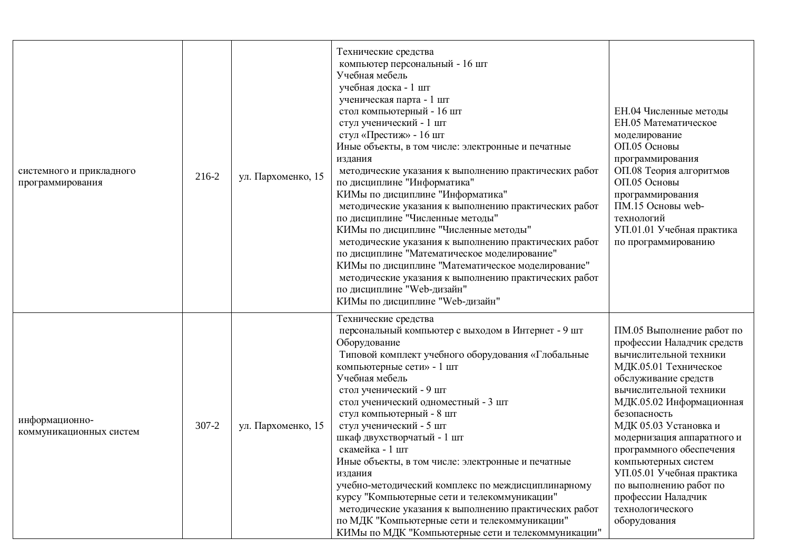| системного и прикладного<br>программирования | 216-2     | ул. Пархоменко, 15 | Технические средства<br>компьютер персональный - 16 шт<br>Учебная мебель<br>учебная доска - 1 шт<br>ученическая парта - 1 шт<br>стол компьютерный - 16 шт<br>стул ученический - 1 шт<br>стул «Престиж» - 16 шт<br>Иные объекты, в том числе: электронные и печатные<br>издания<br>методические указания к выполнению практических работ<br>по дисциплине "Информатика"<br>КИМы по дисциплине "Информатика"<br>методические указания к выполнению практических работ<br>по дисциплине "Численные методы"<br>КИМы по дисциплине "Численные методы"<br>методические указания к выполнению практических работ<br>по дисциплине "Математическое моделирование"<br>КИМы по дисциплине "Математическое моделирование"<br>методические указания к выполнению практических работ<br>по дисциплине "Web-дизайн" | ЕН.04 Численные методы<br>ЕН.05 Математическое<br>моделирование<br>ОП.05 Основы<br>программирования<br>ОП.08 Теория алгоритмов<br>ОП.05 Основы<br>программирования<br>ПМ.15 Основы web-<br>технологий<br>УП.01.01 Учебная практика<br>по программированию                                                                                                                                                                           |
|----------------------------------------------|-----------|--------------------|-------------------------------------------------------------------------------------------------------------------------------------------------------------------------------------------------------------------------------------------------------------------------------------------------------------------------------------------------------------------------------------------------------------------------------------------------------------------------------------------------------------------------------------------------------------------------------------------------------------------------------------------------------------------------------------------------------------------------------------------------------------------------------------------------------|-------------------------------------------------------------------------------------------------------------------------------------------------------------------------------------------------------------------------------------------------------------------------------------------------------------------------------------------------------------------------------------------------------------------------------------|
| информационно-<br>коммуникационных систем    | $307 - 2$ | ул. Пархоменко, 15 | КИМы по дисциплине "Web-дизайн"<br>Технические средства<br>персональный компьютер с выходом в Интернет - 9 шт<br>Оборудование<br>Типовой комплект учебного оборудования «Глобальные<br>компьютерные сети» - 1 шт<br>Учебная мебель<br>стол ученический - 9 шт<br>стол ученический одноместный - 3 шт<br>стул компьютерный - 8 шт<br>стул ученический - 5 шт<br>шкаф двухстворчатый - 1 шт<br>скамейка - 1 шт<br>Иные объекты, в том числе: электронные и печатные<br>издания<br>учебно-методический комплекс по междисциплинарному<br>курсу "Компьютерные сети и телекоммуникации"<br>методические указания к выполнению практических работ<br>по МДК "Компьютерные сети и телекоммуникации"<br>КИМы по МДК "Компьютерные сети и телекоммуникации"                                                    | ПМ.05 Выполнение работ по<br>профессии Наладчик средств<br>вычислительной техники<br>МДК.05.01 Техническое<br>обслуживание средств<br>вычислительной техники<br>МДК.05.02 Информационная<br>безопасность<br>МДК 05.03 Установка и<br>модернизация аппаратного и<br>программного обеспечения<br>компьютерных систем<br>УП.05.01 Учебная практика<br>по выполнению работ по<br>профессии Наладчик<br>технологического<br>оборудования |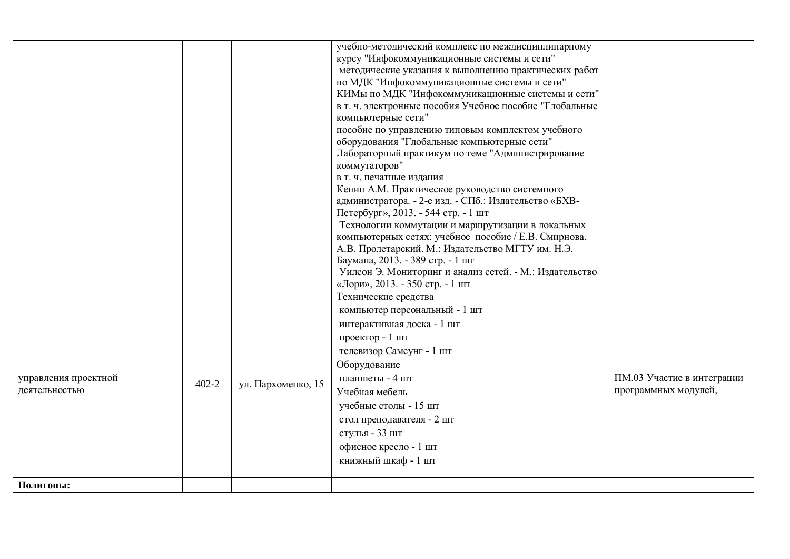|                                                         | учебно-методический комплекс по междисциплинарному                                                |                            |
|---------------------------------------------------------|---------------------------------------------------------------------------------------------------|----------------------------|
|                                                         | курсу "Инфокоммуникационные системы и сети"                                                       |                            |
|                                                         | методические указания к выполнению практических работ                                             |                            |
|                                                         | по МДК "Инфокоммуникационные системы и сети"<br>КИМы по МДК "Инфокоммуникационные системы и сети" |                            |
|                                                         | в т. ч. электронные пособия Учебное пособие "Глобальные                                           |                            |
|                                                         | компьютерные сети"                                                                                |                            |
|                                                         | пособие по управлению типовым комплектом учебного                                                 |                            |
|                                                         | оборудования "Глобальные компьютерные сети"                                                       |                            |
|                                                         | Лабораторный практикум по теме "Администрирование                                                 |                            |
|                                                         | коммутаторов"                                                                                     |                            |
|                                                         | в т. ч. печатные издания<br>Кенин А.М. Практическое руководство системного                        |                            |
|                                                         | администратора. - 2-е изд. - СПб.: Издательство «БХВ-                                             |                            |
|                                                         | Петербург», 2013. - 544 стр. - 1 шт                                                               |                            |
|                                                         | Технологии коммутации и маршрутизации в локальных                                                 |                            |
|                                                         | компьютерных сетях: учебное пособие / Е.В. Смирнова,                                              |                            |
|                                                         | А.В. Пролетарский. М.: Издательство МГТУ им. Н.Э.<br>Баумана, 2013. - 389 стр. - 1 шт             |                            |
|                                                         | Уилсон Э. Мониторинг и анализ сетей. - М.: Издательство                                           |                            |
|                                                         | «Лори», 2013. - 350 стр. - 1 шт                                                                   |                            |
|                                                         | Технические средства                                                                              |                            |
|                                                         | компьютер персональный - 1 шт                                                                     |                            |
|                                                         | интерактивная доска - 1 шт                                                                        |                            |
|                                                         | проектор - 1 шт                                                                                   |                            |
|                                                         | телевизор Самсунг - 1 шт                                                                          |                            |
|                                                         | Оборудование                                                                                      |                            |
| управления проектной<br>$402 - 2$<br>ул. Пархоменко, 15 | планшеты - 4 шт                                                                                   | ПМ.03 Участие в интеграции |
| деятельностью                                           | Учебная мебель                                                                                    | программных модулей,       |
|                                                         | учебные столы - 15 шт                                                                             |                            |
|                                                         | стол преподавателя - 2 шт                                                                         |                            |
|                                                         | стулья - 33 шт<br>офисное кресло - 1 шт                                                           |                            |
|                                                         | книжный шкаф - 1 шт                                                                               |                            |
|                                                         |                                                                                                   |                            |
| Полигоны:                                               |                                                                                                   |                            |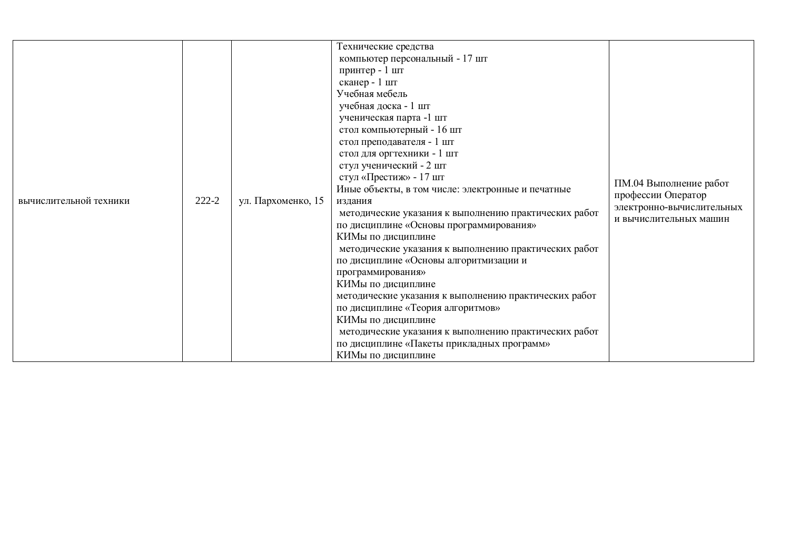| вычислительной техники | 222-2 | ул. Пархоменко, 15 | Технические средства<br>компьютер персональный - 17 шт<br>принтер - 1 шт<br>сканер - 1 шт<br>Учебная мебель<br>учебная доска - 1 шт<br>ученическая парта -1 шт<br>стол компьютерный - 16 шт<br>стол преподавателя - 1 шт<br>стол для оргтехники - 1 шт<br>стул ученический - 2 шт<br>стул «Престиж» - 17 шт<br>Иные объекты, в том числе: электронные и печатные<br>издания<br>методические указания к выполнению практических работ<br>по дисциплине «Основы программирования»<br>КИМы по дисциплине<br>методические указания к выполнению практических работ<br>по дисциплине «Основы алгоритмизации и<br>программирования»<br>КИМы по дисциплине<br>методические указания к выполнению практических работ<br>по дисциплине «Теория алгоритмов»<br>КИМы по дисциплине<br>методические указания к выполнению практических работ<br>по дисциплине «Пакеты прикладных программ»<br>КИМы по дисциплине | ПМ.04 Выполнение работ<br>профессии Оператор<br>электронно-вычислительных<br>и вычислительных машин |
|------------------------|-------|--------------------|------------------------------------------------------------------------------------------------------------------------------------------------------------------------------------------------------------------------------------------------------------------------------------------------------------------------------------------------------------------------------------------------------------------------------------------------------------------------------------------------------------------------------------------------------------------------------------------------------------------------------------------------------------------------------------------------------------------------------------------------------------------------------------------------------------------------------------------------------------------------------------------------------|-----------------------------------------------------------------------------------------------------|
|------------------------|-------|--------------------|------------------------------------------------------------------------------------------------------------------------------------------------------------------------------------------------------------------------------------------------------------------------------------------------------------------------------------------------------------------------------------------------------------------------------------------------------------------------------------------------------------------------------------------------------------------------------------------------------------------------------------------------------------------------------------------------------------------------------------------------------------------------------------------------------------------------------------------------------------------------------------------------------|-----------------------------------------------------------------------------------------------------|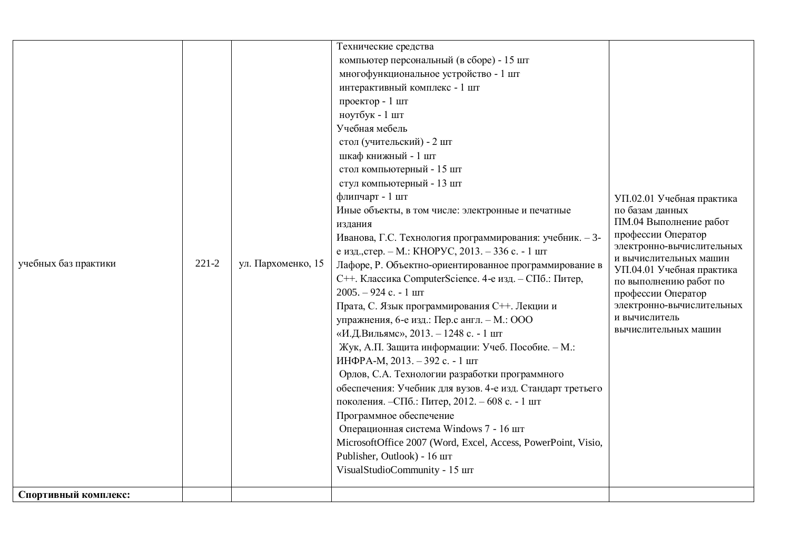| учебных баз практики<br>Спортивный комплекс: | $221 - 2$ | ул. Пархоменко, 15 | Технические средства<br>компьютер персональный (в сборе) - 15 шт<br>многофункциональное устройство - 1 шт<br>интерактивный комплекс - 1 шт<br>проектор - 1 шт<br>ноутбук - 1 шт<br>Учебная мебель<br>стол (учительский) - 2 шт<br>шкаф книжный - 1 шт<br>стол компьютерный - 15 шт<br>стул компьютерный - 13 шт<br>флипчарт - 1 шт<br>Иные объекты, в том числе: электронные и печатные<br>издания<br>Иванова, Г.С. Технология программирования: учебник. - 3-<br>е изд., стер. – М.: КНОРУС, 2013. – 336 с. - 1 шт<br>Лафоре, Р. Объектно-ориентированное программирование в<br>С++. Классика ComputerScience. 4-е изд. - СПб.: Питер,<br>$2005. - 924$ c. - 1 $\text{I}$<br>Прата, С. Язык программирования С++. Лекции и<br>упражнения, 6-е изд.: Пер.с англ. - М.: ООО<br>«И.Д.Вильямс», 2013. - 1248 с. - 1 шт<br>Жук, А.П. Защита информации: Учеб. Пособие. - М.:<br>ИНФРА-М, 2013. - 392 с. - 1 шт<br>Орлов, С.А. Технологии разработки программного<br>обеспечения: Учебник для вузов. 4-е изд. Стандарт третьего<br>поколения. - СПб.: Питер, 2012. - 608 с. - 1 шт<br>Программное обеспечение<br>Операционная система Windows 7 - 16 шт<br>MicrosoftOffice 2007 (Word, Excel, Access, PowerPoint, Visio,<br>Publisher, Outlook) - 16 шт<br>VisualStudioCommunity - 15 IIIT | УП.02.01 Учебная практика<br>по базам данных<br>ПМ.04 Выполнение работ<br>профессии Оператор<br>электронно-вычислительных<br>и вычислительных машин<br>УП.04.01 Учебная практика<br>по выполнению работ по<br>профессии Оператор<br>электронно-вычислительных<br>и вычислитель<br>вычислительных машин |
|----------------------------------------------|-----------|--------------------|---------------------------------------------------------------------------------------------------------------------------------------------------------------------------------------------------------------------------------------------------------------------------------------------------------------------------------------------------------------------------------------------------------------------------------------------------------------------------------------------------------------------------------------------------------------------------------------------------------------------------------------------------------------------------------------------------------------------------------------------------------------------------------------------------------------------------------------------------------------------------------------------------------------------------------------------------------------------------------------------------------------------------------------------------------------------------------------------------------------------------------------------------------------------------------------------------------------------------------------------------------------------------------------|--------------------------------------------------------------------------------------------------------------------------------------------------------------------------------------------------------------------------------------------------------------------------------------------------------|
|----------------------------------------------|-----------|--------------------|---------------------------------------------------------------------------------------------------------------------------------------------------------------------------------------------------------------------------------------------------------------------------------------------------------------------------------------------------------------------------------------------------------------------------------------------------------------------------------------------------------------------------------------------------------------------------------------------------------------------------------------------------------------------------------------------------------------------------------------------------------------------------------------------------------------------------------------------------------------------------------------------------------------------------------------------------------------------------------------------------------------------------------------------------------------------------------------------------------------------------------------------------------------------------------------------------------------------------------------------------------------------------------------|--------------------------------------------------------------------------------------------------------------------------------------------------------------------------------------------------------------------------------------------------------------------------------------------------------|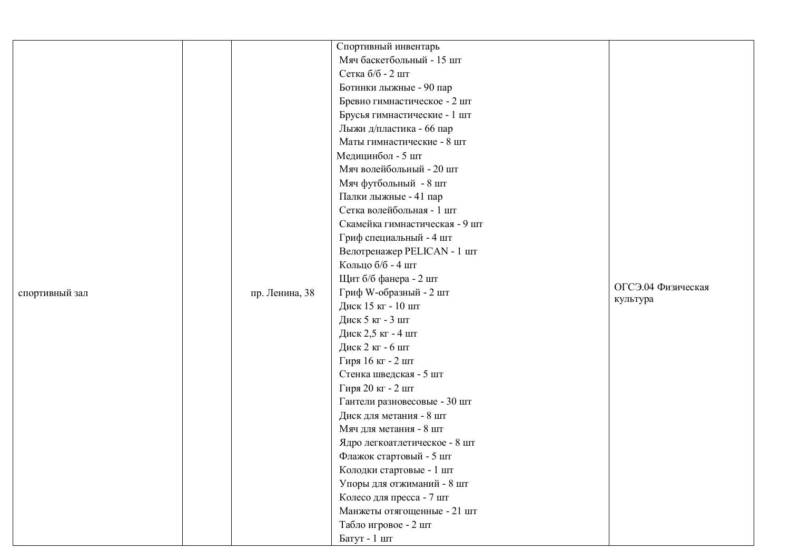|                |                | Спортивный инвентарь           |                    |
|----------------|----------------|--------------------------------|--------------------|
|                |                | Мяч баскетбольный - 15 шт      |                    |
|                |                | Сетка б/б - 2 шт               |                    |
|                |                | Ботинки лыжные - 90 пар        |                    |
|                |                | Бревно гимнастическое - 2 шт   |                    |
|                |                | Брусья гимнастические - 1 шт   |                    |
|                |                | Лыжи д/пластика - 66 пар       |                    |
|                |                | Маты гимнастические - 8 шт     |                    |
|                |                | Медицинбол - 5 шт              |                    |
|                |                | Мяч волейбольный - 20 шт       |                    |
|                |                | Мяч футбольный - 8 шт          |                    |
|                |                | Палки лыжные - 41 пар          |                    |
|                |                | Сетка волейбольная - 1 шт      |                    |
|                |                | Скамейка гимнастическая - 9 шт |                    |
|                |                | Гриф специальный - 4 шт        |                    |
|                |                | Велотренажер PELICAN - 1 шт    |                    |
|                |                | Кольцо б/б - 4 шт              |                    |
|                |                | Щит б/б фанера - 2 шт          | ОГСЭ.04 Физическая |
| спортивный зал | пр. Ленина, 38 | Гриф W-образный - 2 шт         | культура           |
|                |                | Диск 15 кг - 10 шт             |                    |
|                |                | Диск 5 кг - 3 шт               |                    |
|                |                | Диск 2,5 кг - 4 шт             |                    |
|                |                | Диск 2 кг - 6 шт               |                    |
|                |                | Гиря 16 кг - 2 шт              |                    |
|                |                | Стенка шведская - 5 шт         |                    |
|                |                | Гиря 20 кг - 2 шт              |                    |
|                |                | Гантели разновесовые - 30 шт   |                    |
|                |                | Диск для метания - 8 шт        |                    |
|                |                | Мяч для метания - 8 шт         |                    |
|                |                | Ядро легкоатлетическое - 8 шт  |                    |
|                |                | Флажок стартовый - 5 шт        |                    |
|                |                | Колодки стартовые - 1 шт       |                    |
|                |                | Упоры для отжиманий - 8 шт     |                    |
|                |                | Колесо для пресса - 7 шт       |                    |
|                |                | Манжеты отягощенные - 21 шт    |                    |
|                |                | Табло игровое - 2 шт           |                    |
|                |                | Батут - 1 шт                   |                    |